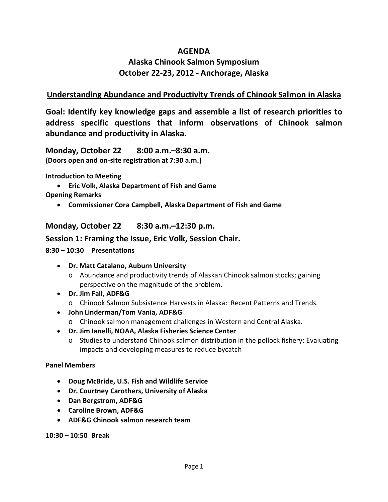## **AGENDA**

# **Alaska Chinook Salmon Symposium October 22-23, 2012 - Anchorage, Alaska**

## **Understanding Abundance and Productivity Trends of Chinook Salmon in Alaska**

**Goal: Identify key knowledge gaps and assemble a list of research priorities to address specific questions that inform observations of Chinook salmon abundance and productivity in Alaska.**

**Monday, October 22 8:00 a.m.–8:30 a.m. (Doors open and on-site registration at 7:30 a.m.)**

**Introduction to Meeting**

• **Eric Volk, Alaska Department of Fish and Game**

**Opening Remarks**

• **Commissioner Cora Campbell, Alaska Department of Fish and Game**

**Monday, October 22 8:30 a.m.–12:30 p.m.**

### **Session 1: Framing the Issue, Eric Volk, Session Chair.**

#### **8:30 – 10:30 Presentations**

- **Dr. Matt Catalano, Auburn University**
	- o Abundance and productivity trends of Alaskan Chinook salmon stocks; gaining perspective on the magnitude of the problem.
- **Dr. Jim Fall, ADF&G**
	- o Chinook Salmon Subsistence Harvests in Alaska: Recent Patterns and Trends.
- **John Linderman/Tom Vania, ADF&G**
	- o Chinook salmon management challenges in Western and Central Alaska.
- **Dr. Jim Ianelli, NOAA, Alaska Fisheries Science Center**
	- o Studies to understand Chinook salmon distribution in the pollock fishery: Evaluating impacts and developing measures to reduce bycatch

#### **Panel Members**

- **Doug McBride, U.S. Fish and Wildlife Service**
- **Dr. Courtney Carothers, University of Alaska**
- **Dan Bergstrom, ADF&G**
- **Caroline Brown, ADF&G**
- **ADF&G Chinook salmon research team**

**10:30 – 10:50 Break**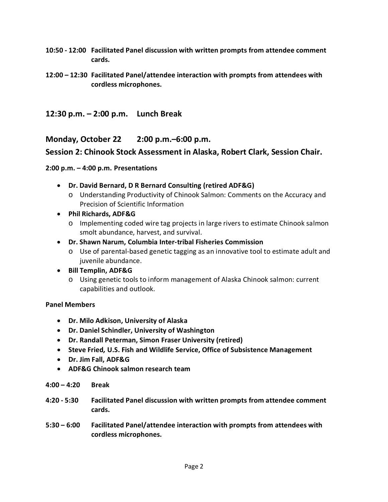- **10:50 - 12:00 Facilitated Panel discussion with written prompts from attendee comment cards.**
- **12:00 – 12:30 Facilitated Panel/attendee interaction with prompts from attendees with cordless microphones.**
- **12:30 p.m. – 2:00 p.m. Lunch Break**

**Monday, October 22 2:00 p.m.–6:00 p.m.**

### **Session 2: Chinook Stock Assessment in Alaska, Robert Clark, Session Chair.**

#### **2:00 p.m. – 4:00 p.m. Presentations**

- **Dr. David Bernard, D R Bernard Consulting (retired ADF&G)**
	- o Understanding Productivity of Chinook Salmon: Comments on the Accuracy and Precision of Scientific Information
- **Phil Richards, ADF&G**
	- o Implementing coded wire tag projects in large rivers to estimate Chinook salmon smolt abundance, harvest, and survival.
- **Dr. Shawn Narum, Columbia Inter-tribal Fisheries Commission**
	- o Use of parental-based genetic tagging as an innovative tool to estimate adult and juvenile abundance.
- **Bill Templin, ADF&G**
	- o Using genetic tools to inform management of Alaska Chinook salmon: current capabilities and outlook.

#### **Panel Members**

- **Dr. Milo Adkison, University of Alaska**
- **Dr. Daniel Schindler, University of Washington**
- **Dr. Randall Peterman, Simon Fraser University (retired)**
- **Steve Fried***,* **U.S. Fish and Wildlife Service, Office of Subsistence Management**
- **Dr. Jim Fall, ADF&G**
- **ADF&G Chinook salmon research team**
- **4:00 – 4:20 Break**
- **4:20 - 5:30 Facilitated Panel discussion with written prompts from attendee comment cards.**
- **5:30 – 6:00 Facilitated Panel/attendee interaction with prompts from attendees with cordless microphones.**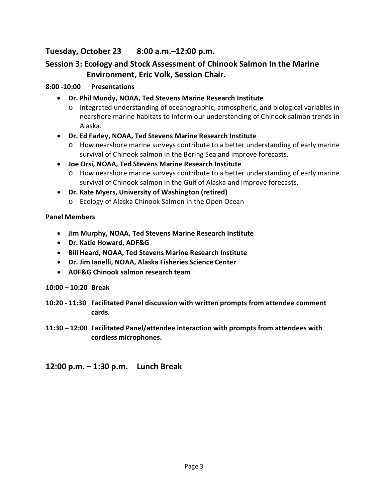## **Tuesday, October 23 8:00 a.m.–12:00 p.m.**

## **Session 3: Ecology and Stock Assessment of Chinook Salmon In the Marine Environment, Eric Volk, Session Chair.**

### **8:00 -10:00 Presentations**

- **Dr. Phil Mundy, NOAA, Ted Stevens Marine Research Institute**
	- o Integrated understanding of oceanographic, atmospheric, and biological variables in nearshore marine habitats to inform our understanding of Chinook salmon trends in Alaska.
- **Dr. Ed Farley, NOAA, Ted Stevens Marine Research Institute**
	- o How nearshore marine surveys contribute to a better understanding of early marine survival of Chinook salmon in the Bering Sea and improve forecasts.
- **Joe Orsi, NOAA, Ted Stevens Marine Research Institute**
	- o How nearshore marine surveys contribute to a better understanding of early marine survival of Chinook salmon in the Gulf of Alaska and improve forecasts.
- **Dr. Kate Myers, University of Washington (retired)**
	- o Ecology of Alaska Chinook Salmon in the Open Ocean

### **Panel Members**

- **Jim Murphy, NOAA, Ted Stevens Marine Research Institute**
- **Dr. Katie Howard, ADF&G**
- **Bill Heard***,* **NOAA, Ted Stevens Marine Research Institute**
- **Dr. Jim Ianelli, NOAA, Alaska Fisheries Science Center**
- **ADF&G Chinook salmon research team**
- **10:00 – 10:20 Break**
- **10:20 - 11:30 Facilitated Panel discussion with written prompts from attendee comment cards.**
- **11:30 – 12:00 Facilitated Panel/attendee interaction with prompts from attendees with cordless microphones.**
- **12:00 p.m. – 1:30 p.m. Lunch Break**